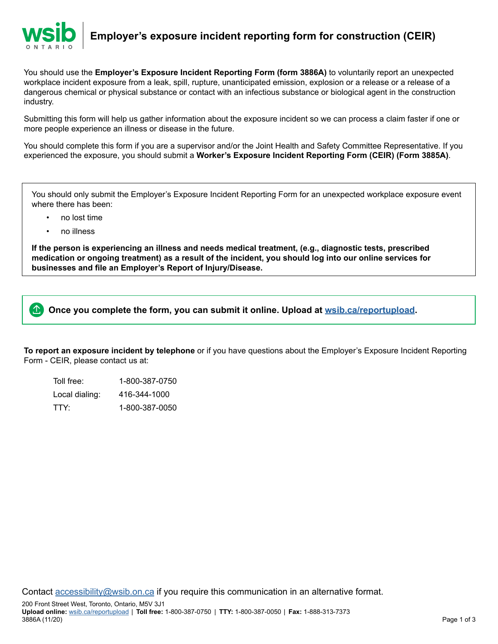

**Employer's exposure incident reporting form for construction (CEIR)**

You should use the **Employer's Exposure Incident Reporting Form (form 3886A)** to voluntarily report an unexpected workplace incident exposure from a leak, spill, rupture, unanticipated emission, explosion or a release or a release of a dangerous chemical or physical substance or contact with an infectious substance or biological agent in the construction industry.

Submitting this form will help us gather information about the exposure incident so we can process a claim faster if one or more people experience an illness or disease in the future.

You should complete this form if you are a supervisor and/or the Joint Health and Safety Committee Representative. If you experienced the exposure, you should submit a **Worker's Exposure Incident Reporting Form (CEIR) (Form 3885A)**.

You should only submit the Employer's Exposure Incident Reporting Form for an unexpected workplace exposure event where there has been:

- no lost time
- no illness

**If the person is experiencing an illness and needs medical treatment, (e.g., diagnostic tests, prescribed medication or ongoing treatment) as a result of the incident, you should log into our online services for businesses and file an Employer's Report of Injury/Disease.**



**To report an exposure incident by telephone** or if you have questions about the Employer's Exposure Incident Reporting Form - CEIR, please contact us at:

Toll free: 1-800-387-0750 Local dialing: 416-344-1000 TTY: 1-800-387-0050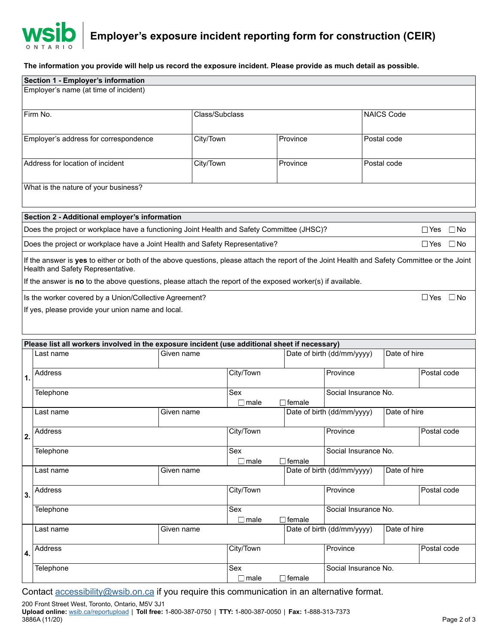

**Employer's exposure incident reporting form for construction (CEIR)**

**The information you provide will help us record the exposure incident. Please provide as much detail as possible.**

|                                                                                                                             | Section 1 - Employer's information                                                                                                            |             |                       |                       |                                            |                         |             |              |  |  |  |
|-----------------------------------------------------------------------------------------------------------------------------|-----------------------------------------------------------------------------------------------------------------------------------------------|-------------|-----------------------|-----------------------|--------------------------------------------|-------------------------|-------------|--------------|--|--|--|
| Employer's name (at time of incident)                                                                                       |                                                                                                                                               |             |                       |                       |                                            |                         |             |              |  |  |  |
|                                                                                                                             |                                                                                                                                               |             |                       |                       |                                            |                         |             |              |  |  |  |
|                                                                                                                             | Firm No.                                                                                                                                      |             | Class/Subclass        |                       |                                            | <b>NAICS Code</b>       |             |              |  |  |  |
|                                                                                                                             |                                                                                                                                               |             |                       |                       |                                            |                         |             |              |  |  |  |
|                                                                                                                             | Employer's address for correspondence                                                                                                         |             | City/Town<br>Province |                       | Postal code                                |                         |             |              |  |  |  |
|                                                                                                                             |                                                                                                                                               |             |                       |                       |                                            |                         |             |              |  |  |  |
|                                                                                                                             | Address for location of incident                                                                                                              | City/Town   |                       | Province              |                                            | Postal code             |             |              |  |  |  |
|                                                                                                                             |                                                                                                                                               |             |                       |                       |                                            |                         |             |              |  |  |  |
|                                                                                                                             |                                                                                                                                               |             |                       |                       |                                            |                         |             |              |  |  |  |
|                                                                                                                             | What is the nature of your business?                                                                                                          |             |                       |                       |                                            |                         |             |              |  |  |  |
|                                                                                                                             |                                                                                                                                               |             |                       |                       |                                            |                         |             |              |  |  |  |
|                                                                                                                             | Section 2 - Additional employer's information                                                                                                 |             |                       |                       |                                            |                         |             |              |  |  |  |
| Does the project or workplace have a functioning Joint Health and Safety Committee (JHSC)?<br>$\Box$ Yes<br>$\Box$ No       |                                                                                                                                               |             |                       |                       |                                            |                         |             |              |  |  |  |
|                                                                                                                             | Does the project or workplace have a Joint Health and Safety Representative?                                                                  |             |                       |                       |                                            |                         | $\Box$ Yes  | $\square$ No |  |  |  |
|                                                                                                                             | If the answer is yes to either or both of the above questions, please attach the report of the Joint Health and Safety Committee or the Joint |             |                       |                       |                                            |                         |             |              |  |  |  |
|                                                                                                                             | Health and Safety Representative.                                                                                                             |             |                       |                       |                                            |                         |             |              |  |  |  |
|                                                                                                                             | If the answer is no to the above questions, please attach the report of the exposed worker(s) if available.                                   |             |                       |                       |                                            |                         |             |              |  |  |  |
|                                                                                                                             |                                                                                                                                               |             |                       |                       |                                            |                         |             |              |  |  |  |
|                                                                                                                             | Is the worker covered by a Union/Collective Agreement?                                                                                        |             |                       |                       |                                            |                         | $\Box$ Yes  | $\Box$ No    |  |  |  |
|                                                                                                                             | If yes, please provide your union name and local.                                                                                             |             |                       |                       |                                            |                         |             |              |  |  |  |
|                                                                                                                             |                                                                                                                                               |             |                       |                       |                                            |                         |             |              |  |  |  |
|                                                                                                                             |                                                                                                                                               |             |                       |                       |                                            |                         |             |              |  |  |  |
| Please list all workers involved in the exposure incident (use additional sheet if necessary)<br>Date of birth (dd/mm/yyyy) |                                                                                                                                               |             |                       |                       |                                            |                         |             |              |  |  |  |
|                                                                                                                             | Given name<br>Last name                                                                                                                       |             |                       |                       |                                            | Date of hire            |             |              |  |  |  |
|                                                                                                                             | Address                                                                                                                                       |             | City/Town             |                       | Province                                   |                         | Postal code |              |  |  |  |
| $\mathbf 1$                                                                                                                 |                                                                                                                                               |             |                       |                       |                                            |                         |             |              |  |  |  |
|                                                                                                                             | Telephone                                                                                                                                     |             | Sex                   |                       |                                            | Social Insurance No.    |             |              |  |  |  |
|                                                                                                                             |                                                                                                                                               |             | $\square$ male        | ∃female               |                                            |                         |             |              |  |  |  |
|                                                                                                                             | Last name                                                                                                                                     | Given name  |                       |                       | Date of birth (dd/mm/yyyy)                 | Date of hire            |             |              |  |  |  |
|                                                                                                                             | Address                                                                                                                                       |             |                       | City/Town<br>Province |                                            |                         | Postal code |              |  |  |  |
| 2.                                                                                                                          |                                                                                                                                               |             |                       |                       |                                            |                         |             |              |  |  |  |
|                                                                                                                             | Telephone                                                                                                                                     |             | Sex                   |                       |                                            | Social Insurance No.    |             |              |  |  |  |
|                                                                                                                             |                                                                                                                                               | $\Box$ male | $\sqsupset$ female    |                       |                                            |                         |             |              |  |  |  |
|                                                                                                                             | Last name                                                                                                                                     | Given name  |                       |                       | Date of birth (dd/mm/yyyy)                 | Date of hire            |             |              |  |  |  |
|                                                                                                                             | Address                                                                                                                                       |             | City/Town             |                       | Province                                   |                         |             |              |  |  |  |
| 3.                                                                                                                          |                                                                                                                                               |             |                       |                       |                                            | Postal code             |             |              |  |  |  |
|                                                                                                                             | Telephone                                                                                                                                     |             | Sex                   |                       |                                            | Social Insurance No.    |             |              |  |  |  |
|                                                                                                                             |                                                                                                                                               |             | $\Box$ male           | ∃female               |                                            |                         |             |              |  |  |  |
|                                                                                                                             | Last name<br>Given name                                                                                                                       |             |                       |                       | Date of birth (dd/mm/yyyy)<br>Date of hire |                         |             |              |  |  |  |
|                                                                                                                             |                                                                                                                                               |             |                       |                       |                                            |                         |             |              |  |  |  |
| 4.                                                                                                                          | Address                                                                                                                                       |             |                       | City/Town             |                                            | Province<br>Postal code |             |              |  |  |  |
|                                                                                                                             | Telephone                                                                                                                                     |             | Sex                   |                       |                                            | Social Insurance No.    |             |              |  |  |  |
|                                                                                                                             |                                                                                                                                               |             | $\Box$ male           | $\Box$ female         |                                            |                         |             |              |  |  |  |

Contact **accessibility@wsib.on.ca** if you require this communication in an alternative format.

200 Front Street West, Toronto, Ontario, M5V 3J1 **Upload online:** [wsib.ca/reportupload](https://wsib.ca/reportupload) | **Toll free:** 1-800-387-0750 | **TTY:** 1-800-387-0050 | **Fax:** 1-888-313-7373 3886A (11/20) Page 2 of 3